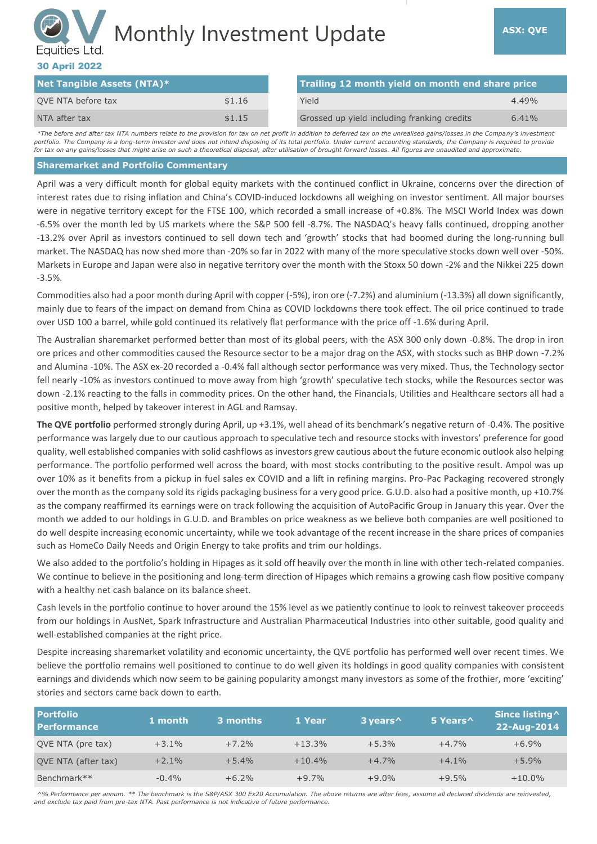# Monthly Investment Update **ASX: QVE** Equities Ltd.

# 30 April 2022

| Net Tangible Assets (NTA)* |        | Trailing 12 month yield on month end share price |          |
|----------------------------|--------|--------------------------------------------------|----------|
| QVE NTA before tax         | \$1.16 | Yield                                            | $4.49\%$ |
| NTA after tax              | \$1.15 | Grossed up yield including franking credits      | 6.41%    |

*\*The before and after tax NTA numbers relate to the provision for tax on net profit in addition to deferred tax on the unrealised gains/losses in the Company's investment*  portfolio. The Company is a long-term investor and does not intend disposing of its total portfolio. Under current accounting standards, the Company is required to provide *for tax on any gains/losses that might arise on such a theoretical disposal, after utilisation of brought forward losses. All figures are unaudited and approximate.*

#### **Sharemarket and Portfolio Commentary**

April was a very difficult month for global equity markets with the continued conflict in Ukraine, concerns over the direction of interest rates due to rising inflation and China's COVID-induced lockdowns all weighing on investor sentiment. All major bourses were in negative territory except for the FTSE 100, which recorded a small increase of +0.8%. The MSCI World Index was down -6.5% over the month led by US markets where the S&P 500 fell -8.7%. The NASDAQ's heavy falls continued, dropping another -13.2% over April as investors continued to sell down tech and 'growth' stocks that had boomed during the long-running bull market. The NASDAQ has now shed more than -20% so far in 2022 with many of the more speculative stocks down well over -50%. Markets in Europe and Japan were also in negative territory over the month with the Stoxx 50 down -2% and the Nikkei 225 down -3.5%.

Commodities also had a poor month during April with copper (-5%), iron ore (-7.2%) and aluminium (-13.3%) all down significantly, mainly due to fears of the impact on demand from China as COVID lockdowns there took effect. The oil price continued to trade over USD 100 a barrel, while gold continued its relatively flat performance with the price off -1.6% during April.

The Australian sharemarket performed better than most of its global peers, with the ASX 300 only down -0.8%. The drop in iron ore prices and other commodities caused the Resource sector to be a major drag on the ASX, with stocks such as BHP down -7.2% and Alumina -10%. The ASX ex-20 recorded a -0.4% fall although sector performance was very mixed. Thus, the Technology sector fell nearly -10% as investors continued to move away from high 'growth' speculative tech stocks, while the Resources sector was down -2.1% reacting to the falls in commodity prices. On the other hand, the Financials, Utilities and Healthcare sectors all had a positive month, helped by takeover interest in AGL and Ramsay.

**The QVE portfolio** performed strongly during April, up +3.1%, well ahead of its benchmark's negative return of -0.4%. The positive performance was largely due to our cautious approach to speculative tech and resource stocks with investors' preference for good quality, well established companies with solid cashflows as investors grew cautious about the future economic outlook also helping performance. The portfolio performed well across the board, with most stocks contributing to the positive result. Ampol was up over 10% as it benefits from a pickup in fuel sales ex COVID and a lift in refining margins. Pro-Pac Packaging recovered strongly over the month as the company sold its rigids packaging business for a very good price. G.U.D. also had a positive month, up +10.7% as the company reaffirmed its earnings were on track following the acquisition of AutoPacific Group in January this year. Over the month we added to our holdings in G.U.D. and Brambles on price weakness as we believe both companies are well positioned to do well despite increasing economic uncertainty, while we took advantage of the recent increase in the share prices of companies such as HomeCo Daily Needs and Origin Energy to take profits and trim our holdings.

We also added to the portfolio's holding in Hipages as it sold off heavily over the month in line with other tech-related companies. We continue to believe in the positioning and long-term direction of Hipages which remains a growing cash flow positive company with a healthy net cash balance on its balance sheet.

Cash levels in the portfolio continue to hover around the 15% level as we patiently continue to look to reinvest takeover proceeds from our holdings in AusNet, Spark Infrastructure and Australian Pharmaceutical Industries into other suitable, good quality and well-established companies at the right price.

Despite increasing sharemarket volatility and economic uncertainty, the QVE portfolio has performed well over recent times. We believe the portfolio remains well positioned to continue to do well given its holdings in good quality companies with consistent earnings and dividends which now seem to be gaining popularity amongst many investors as some of the frothier, more 'exciting' stories and sectors came back down to earth.

| <b>Portfolio</b><br><b>Performance</b> | 1 month | 3 months <b>\</b> | 1 Year   | 3 years ^ | 5 Years <sup>^</sup> | Since listing ^<br>22-Aug-2014 |
|----------------------------------------|---------|-------------------|----------|-----------|----------------------|--------------------------------|
| QVE NTA (pre tax)                      | $+3.1%$ | $+7.2%$           | $+13.3%$ | $+5.3%$   | $+4.7%$              | $+6.9%$                        |
| OVE NTA (after tax)                    | $+2.1%$ | $+5.4%$           | $+10.4%$ | $+4.7%$   | $+4.1%$              | $+5.9%$                        |
| Benchmark**                            | $-0.4%$ | $+6.2%$           | $+9.7%$  | $+9.0%$   | $+9.5%$              | $+10.0\%$                      |

*^% Performance per annum. \*\* The benchmark is the S&P/ASX 300 Ex20 Accumulation. The above returns are after fees, assume all declared dividends are reinvested, and exclude tax paid from pre-tax NTA. Past performance is not indicative of future performance.*